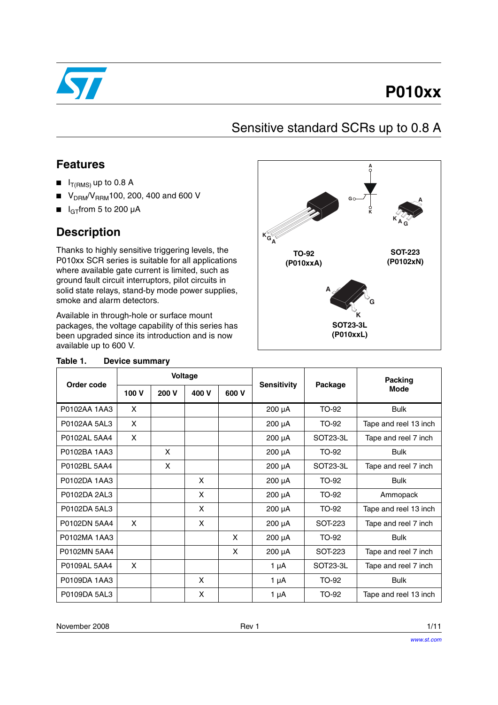

# **P010xx**

**SOT-223**

**A**

**K G**

**A**

**K**

**G**

**A**

## Sensitive standard SCRs up to 0.8 A

### **Features**

- $I_{T(RMS)}$  up to 0.8 A
- $\blacksquare$  V<sub>DRM</sub>/V<sub>RRM</sub>100, 200, 400 and 600 V
- $\blacksquare$  I<sub>GT</sub> from 5 to 200 µA

### **Description**

Thanks to highly sensitive triggering levels, the P010xx SCR ser where available ground fault circu solid state relay smoke and alari

| PO10xx SCR series is suitable for all applications<br>vhere available gate current is limited, such as<br>ground fault circuit interruptors, pilot circuits in<br>olid state relays, stand-by mode power supplies,<br>moke and alarm detectors. |                       |       |                    |                              | (P010xxA) | (P0102xN) |                       |
|-------------------------------------------------------------------------------------------------------------------------------------------------------------------------------------------------------------------------------------------------|-----------------------|-------|--------------------|------------------------------|-----------|-----------|-----------------------|
| Available in through-hole or surface mount<br>ackages, the voltage capability of this series has<br>been upgraded since its introduction and is now<br>wailable up to 600 V.                                                                    |                       |       |                    | <b>SOT23-3L</b><br>(P010xxL) |           |           |                       |
| Fable 1.                                                                                                                                                                                                                                        | <b>Device summary</b> |       |                    |                              |           |           |                       |
| Order code                                                                                                                                                                                                                                      | <b>Voltage</b>        |       | <b>Sensitivity</b> | Package                      | Packing   |           |                       |
|                                                                                                                                                                                                                                                 | 100 V                 | 200 V | 400 V              | 600 V                        |           |           | <b>Mode</b>           |
| P0102AA 1AA3                                                                                                                                                                                                                                    | X                     |       |                    |                              | 200 µA    | TO-92     | <b>Bulk</b>           |
| P0102AA 5AL3                                                                                                                                                                                                                                    | X                     |       |                    |                              | 200 µA    | TO-92     | Tape and reel 13 inch |
| P0102AL 5AA4                                                                                                                                                                                                                                    | X                     |       |                    |                              | 200 µA    | SOT23-3L  | Tape and reel 7 inch  |
| P0102BA 1AA3                                                                                                                                                                                                                                    |                       | X     |                    |                              | 200 µA    | TO-92     | <b>Bulk</b>           |
| P0102BL 5AA4                                                                                                                                                                                                                                    |                       | X     |                    |                              | 200 µA    | SOT23-3L  | Tape and reel 7 inch  |
| P0102DA 1AA3                                                                                                                                                                                                                                    |                       |       | X                  |                              | 200 µA    | TO-92     | <b>Bulk</b>           |
| P0102DA 2AL3                                                                                                                                                                                                                                    |                       |       | X                  |                              | 200 µA    | TO-92     | Ammopack              |
| P0102DA 5AL3                                                                                                                                                                                                                                    |                       |       | X                  |                              | 200 µA    | TO-92     | Tape and reel 13 inch |
| P0102DN 5AA4                                                                                                                                                                                                                                    | X                     |       | X                  |                              | 200 µA    | SOT-223   | Tape and reel 7 inch  |

**TO-92**

**A KG**

#### Table 1. De

November 2008 **Rev 1** 1/11

P0109DA 5AL3 | x | x | 1 µA TO-92 Tape and reel 13 inch

P0102MA 1AA3 | | | | | X | 200 µA | TO-92 | Bulk

P0109DA 1AA3 X 1 µA TO-92 Bulk

P0102MN 5AA4 X 200 µA SOT-223 Tape and reel 7 inch P0109AL 5AA4 X | | | | 1µA SOT23-3L Tape and reel 7 inch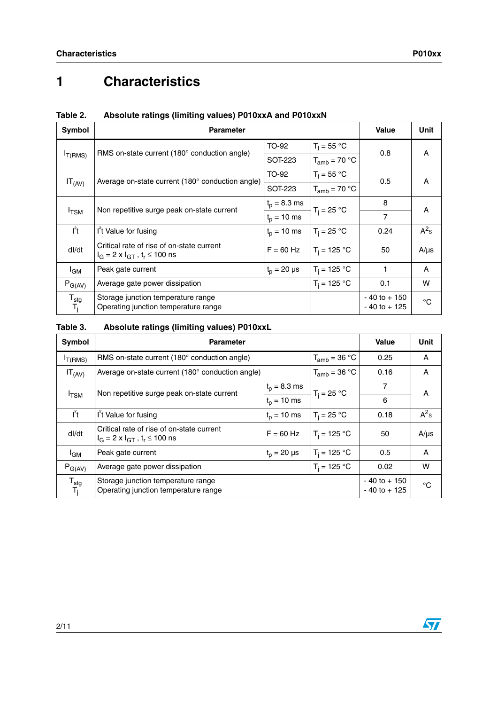# **1 Characteristics**

| Symbol                             | <b>Parameter</b>                                                                                    | <b>Value</b>     | Unit                               |                |           |
|------------------------------------|-----------------------------------------------------------------------------------------------------|------------------|------------------------------------|----------------|-----------|
|                                    |                                                                                                     | TO-92            | $T_1 = 55 °C$                      | 0.8            |           |
| $I_{T(RMS)}$                       | RMS on-state current (180° conduction angle)                                                        | SOT-223          | $T_{amb}$ = 70 °C                  |                | A         |
|                                    | Average on-state current (180° conduction angle)                                                    | TO-92            | $T_1 = 55 °C$                      | 0.5            | A         |
| $IT_{(AV)}$                        |                                                                                                     | SOT-223          | $T_{amb}$ = 70 °C                  |                |           |
|                                    | Non repetitive surge peak on-state current                                                          | $t_p = 8.3$ ms   | $T_i = 25 °C$                      | 8              | A         |
| $I_{\text{TSM}}$                   |                                                                                                     | $t_{p} = 10$ ms  |                                    | $\overline{7}$ |           |
| $I^2t$                             | I <sup>t</sup> Value for fusing                                                                     | $t_{p} = 10$ ms  | $T_i = 25 °C$                      | 0.24           | $A^2$ s   |
| dl/dt                              | Critical rate of rise of on-state current<br>$I_G = 2 \times I_{GT}$ , t <sub>r</sub> $\leq 100$ ns | $F = 60$ Hz      | $T_i = 125 °C$                     | 50             | $A/\mu s$ |
| l <sub>GM</sub>                    | Peak gate current                                                                                   | $t_p = 20 \mu s$ | $T_i = 125 °C$                     | 1              | A         |
| $P_{G(AV)}$                        | Average gate power dissipation                                                                      |                  | $T_i = 125 °C$                     | 0.1            | W         |
| $\mathsf{T}_{\text{stg}}$<br>$T_j$ | Storage junction temperature range<br>Operating junction temperature range                          |                  | $-40$ to $+150$<br>$-40$ to $+125$ | $^{\circ}C$    |           |

### **Table 2. Absolute ratings (limiting values) P010xxA and P010xxN**

#### **Table 3. Absolute ratings (limiting values) P010xxL**

| Symbol                               | <b>Parameter</b>                                                                        |                                    | <b>Value</b>      | Unit    |           |  |
|--------------------------------------|-----------------------------------------------------------------------------------------|------------------------------------|-------------------|---------|-----------|--|
| $I_{T(RMS)}$                         | RMS on-state current $(180^\circ$ conduction angle)                                     |                                    | $T_{amb}$ = 36 °C | 0.25    | A         |  |
| $IT_{(AV)}$                          | Average on-state current (180° conduction angle)                                        |                                    | $T_{amb}$ = 36 °C | 0.16    | A         |  |
|                                      |                                                                                         | $t_p = 8.3$ ms                     |                   | 7       | A         |  |
| I <sub>TSM</sub>                     | Non repetitive surge peak on-state current                                              | $t_{p} = 10$ ms                    | $T_i = 25 °C$     | 6       |           |  |
| $I^2t$                               | I <sup>t</sup> Value for fusing                                                         | $T_i = 25 °C$                      | 0.18              | $A^2$ s |           |  |
| dl/dt                                | Critical rate of rise of on-state current<br>$I_G = 2 \times I_{GT}$ , $t_r \le 100$ ns | $F = 60$ Hz                        | $T_i = 125 °C$    | 50      | $A/\mu s$ |  |
| <sup>I</sup> GM                      | Peak gate current                                                                       | 0.5                                | A                 |         |           |  |
| $P_{G(AV)}$                          | Average gate power dissipation                                                          | 0.02                               | W                 |         |           |  |
| $\mathsf{T}_{\textsf{stg}}$<br>$T_j$ | Storage junction temperature range<br>Operating junction temperature range              | $-40$ to $+150$<br>$-40$ to $+125$ | $^{\circ}C$       |         |           |  |

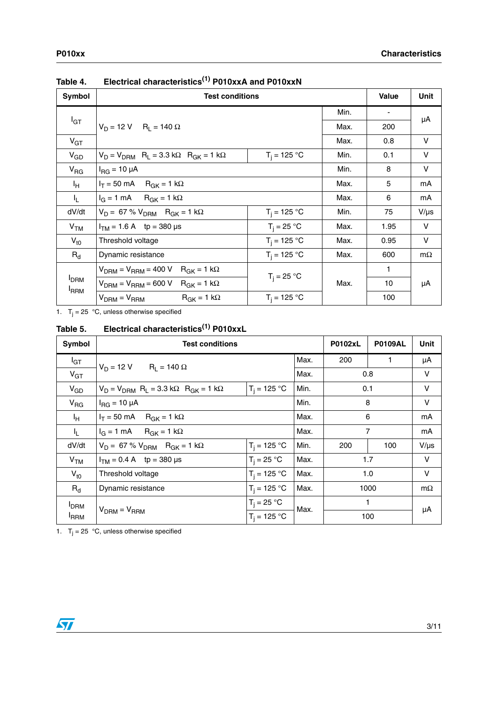| Symbol                                      | <b>Test conditions</b>                                                         | Value          | Unit |      |           |
|---------------------------------------------|--------------------------------------------------------------------------------|----------------|------|------|-----------|
|                                             |                                                                                |                | Min. |      |           |
| $I_{GT}$                                    | $V_D = 12 V$ R <sub>I</sub> = 140 $\Omega$                                     |                | Max. | 200  | μA        |
| $V_{GT}$                                    |                                                                                |                | Max. | 0.8  | $\vee$    |
| $V_{GD}$                                    | $V_D = V_{DRM}$ R <sub>L</sub> = 3.3 k $\Omega$ R <sub>GK</sub> = 1 k $\Omega$ | $T_i = 125 °C$ | Min. | 0.1  | V         |
| $V_{\text{RG}}$                             | $I_{\rm RG}$ = 10 µA                                                           | Min.           | 8    | V    |           |
| ΙH.                                         | $I_T = 50 \text{ mA}$ R <sub>GK</sub> = 1 kΩ                                   | Max.           | 5    | mA   |           |
| IL.                                         | $I_G = 1$ mA $R_{GK} = 1$ kΩ                                                   |                | Max. | 6    | mA        |
| dV/dt                                       | $V_D = 67 \% V_{DRM}$ R <sub>GK</sub> = 1 kΩ                                   | $T_i = 125 °C$ | Min. | 75   | $V/\mu s$ |
| V <sub>TM</sub>                             | $I_{TM}$ = 1.6 A tp = 380 µs                                                   | $T_i = 25 °C$  | Max. | 1.95 | V         |
| $V_{\text{t0}}$                             | Threshold voltage                                                              | $T_i = 125 °C$ | Max. | 0.95 | V         |
| $R_{d}$                                     | Dynamic resistance                                                             | $T_i = 125 °C$ | Max. | 600  | $m\Omega$ |
|                                             | $V_{\text{DRM}} = V_{\text{RRM}} = 400 \text{ V}$ R <sub>GK</sub> = 1 kΩ       |                |      | 1    |           |
| <b>I</b> <sub>DRM</sub><br><sup>I</sup> RRM | $T_i = 25 °C$<br>$V_{DRM}$ = $V_{RRM}$ = 600 V R <sub>GK</sub> = 1 k $\Omega$  |                | Max. | 10   | μA        |
|                                             | $R_{GK} = 1 k\Omega$<br>$V_{DRM} = V_{RRM}$                                    | $T_i = 125 °C$ |      | 100  |           |

**Table 4. Electrical characteristics(1) P010xxA and P010xxN**

1.  $T_j = 25$  °C, unless otherwise specified

**Table 5. Electrical characteristics(1) P010xxL**

| Symbol                             | <b>Test conditions</b>                                                         |                |      |      |     |           |  |  |
|------------------------------------|--------------------------------------------------------------------------------|----------------|------|------|-----|-----------|--|--|
| $I_{GT}$                           | $V_D = 12 V$ R <sub>1</sub> = 140 $\Omega$                                     |                | Max. | 200  | 1   | μA        |  |  |
| $V_{GT}$                           |                                                                                |                | Max. | 0.8  |     | V         |  |  |
| $V_{GD}$                           | $V_D = V_{DRM}$ R <sub>L</sub> = 3.3 k $\Omega$ R <sub>GK</sub> = 1 k $\Omega$ | $T_i = 125 °C$ | Min. | 0.1  |     | V         |  |  |
| V <sub>RG</sub>                    | $I_{\text{RG}}$ = 10 µA                                                        | Min.           | 8    |      | V   |           |  |  |
| ΙH.                                | $I_T = 50 \text{ mA}$ R <sub>GK</sub> = 1 kΩ                                   | Max.           | 6    |      | mA  |           |  |  |
| I <sub>L</sub>                     | $I_G = 1$ mA R <sub>GK</sub> = 1 kΩ                                            | Max.           | 7    |      | mA  |           |  |  |
| dV/dt                              | $V_D = 67 \% V_{DRM}$ R <sub>GK</sub> = 1 kΩ                                   | $T_i = 125 °C$ | Min. | 200  | 100 | $V/\mu s$ |  |  |
| V <sub>TM</sub>                    | $I_{TM} = 0.4 A$ tp = 380 µs                                                   | $T_i = 25 °C$  | Max. | 1.7  |     | V         |  |  |
| $V_{t0}$                           | Threshold voltage                                                              | $T_i = 125 °C$ | Max. | 1.0  |     | V         |  |  |
| $R_{d}$                            | $T_i = 125 °C$<br>Max.<br>Dynamic resistance                                   |                |      | 1000 |     | $m\Omega$ |  |  |
| <b>I</b> DRM                       |                                                                                | $T_i = 25 °C$  | Max. | 1    |     |           |  |  |
| $V_{DRM} = V_{RRM}$<br><b>IRRM</b> |                                                                                | $T_i = 125 °C$ |      | 100  | μA  |           |  |  |

1.  $T_j = 25$  °C, unless otherwise specified

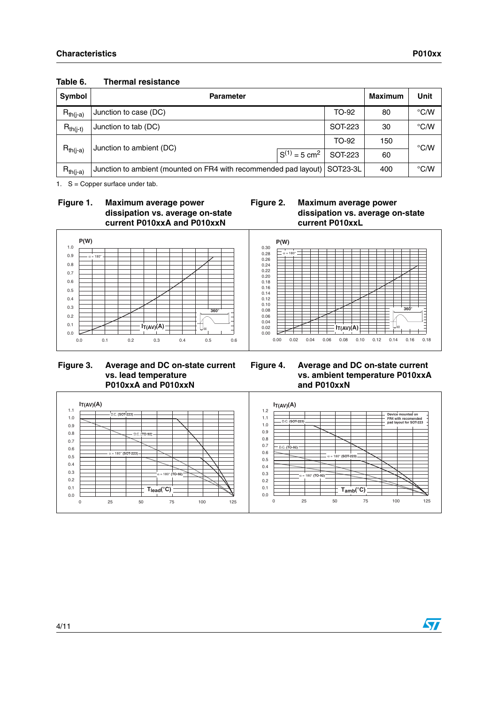| Symbol        | <b>Parameter</b>                                                             |         | <b>Maximum</b> | Unit          |      |
|---------------|------------------------------------------------------------------------------|---------|----------------|---------------|------|
| $R_{th(j-a)}$ | Junction to case (DC)                                                        | TO-92   | 80             | $\degree$ C/W |      |
| $R_{th(j-t)}$ | Junction to tab (DC)                                                         | 30      | °C/W           |               |      |
|               | Junction to ambient (DC)                                                     | TO-92   | 150            | °C/W          |      |
| $R_{th(i-a)}$ | $S^{(1)} = 5$ cm <sup>2</sup>                                                | SOT-223 | 60             |               |      |
| $R_{th(i-a)}$ | SOT23-3L<br>Junction to ambient (mounted on FR4 with recommended pad layout) |         |                |               | °C/W |

#### **Table 6. Thermal resistance**

1. S = Copper surface under tab.

#### **Figure 1. Maximum average power dissipation vs. average on-state current P010xxA and P010xxN**

#### **Figure 2. Maximum average power dissipation vs. average on-state current P010xxL**



#### **Figure 3. Average and DC on-state current vs. lead temperature P010xxA and P010xxN**

### **Figure 4. Average and DC on-state current vs. ambient temperature P010xxA and P010xxN**



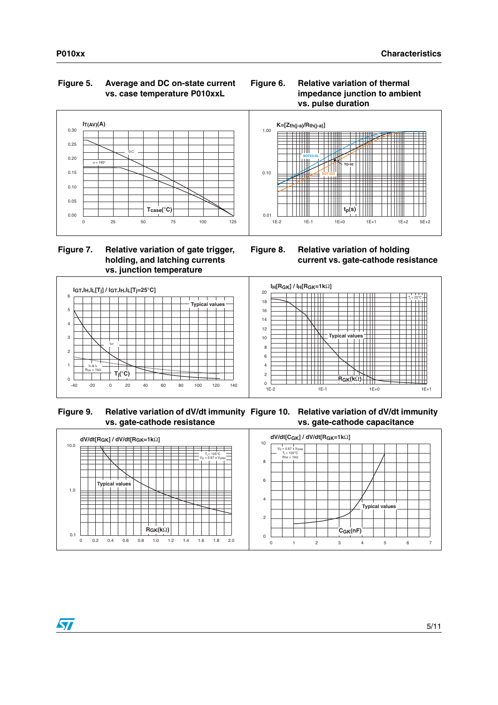### **Figure 5. Average and DC on-state current vs. case temperature P010xxL**



### **Figure 7. Relative variation of gate trigger, holding, and latching currents vs. junction temperature**







**Figure 8. Relative variation of holding current vs. gate-cathode resistance** 



Figure 9. Relative variation of dV/dt immunity Figure 10. Relative variation of dV/dt immunity **vs. gate-cathode resistance vs. gate-cathode capacitance** 



 $\overline{\mathbf{v}}$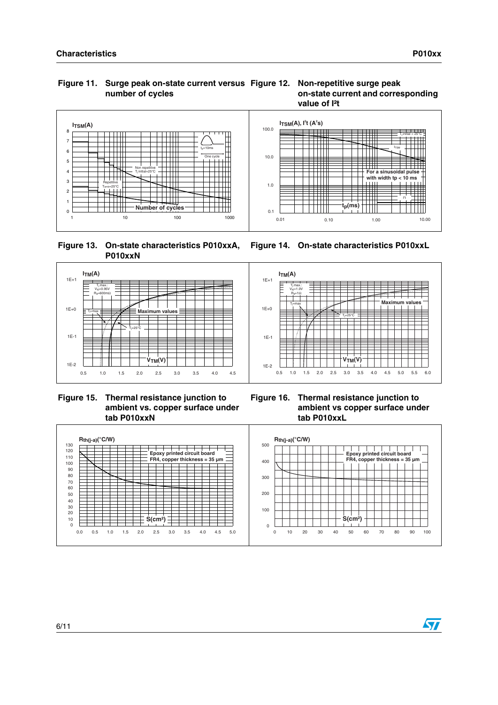#### **Figure 11. Surge peak on-state current versus number of cycles**





 **Figure 13. On-state characteristics P010xxA, P010xxN**



 **Figure 15. Thermal resistance junction to ambient vs. copper surface under tab P010xxN**

**ITM(A)**  $T_j$  max.:  $V_{10} = 1.0V$ t0  $R_d = 1$  $d = 1 Ω$ **Maximum values** Tj=max  $T$  = 25 $^{\circ}$ C **V**<sub>TM</sub>(V)  $\overline{1}$ 0.5 1.0 1.5 2.0 2.5 3.0 3.5 4.0 4.5 5.0 5.5 6.0

**Figure 14. On-state characteristics P010xxL**

**Figure 16. Thermal resistance junction to ambient vs copper surface under tab P010xxL**



 $\bm{\varPi}$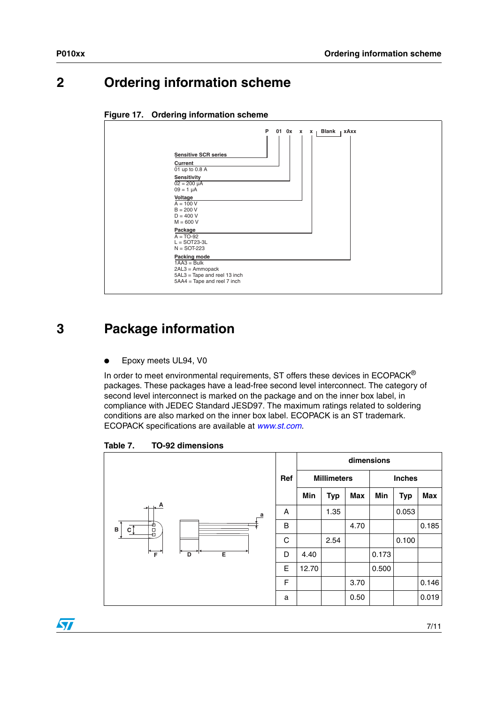$\overline{\mathbf{v}}$ 

## **2 Ordering information scheme**

| ັ<br>ີ                                                                                                                     |                                                                                                                     |   |  |                   |       |      |  |  |  |
|----------------------------------------------------------------------------------------------------------------------------|---------------------------------------------------------------------------------------------------------------------|---|--|-------------------|-------|------|--|--|--|
| Current<br>$09 = 1 \mu A$<br>Voltage<br>$A = 100 V$<br>$B = 200 V$<br>$D = 400 V$<br>$M = 600 V$<br>Package<br>$A = TO-92$ | <b>Sensitive SCR series</b><br>01 up to 0.8 A<br>Sensitivity<br>$02 = 200 \mu A$<br>$L =$ SOT23-3L<br>$N =$ SOT-223 | P |  | 01 0 $x \times x$ | Blank | xAxx |  |  |  |
|                                                                                                                            | Packing mode<br>$1AA3 = Bulk$<br>$2AL3 = Ammopack$<br>5AL3 = Tape and reel 13 inch<br>5AA4 = Tape and reel 7 inch   |   |  |                   |       |      |  |  |  |

#### **Figure 17. Ordering information scheme**

## **3 Package information**

Epoxy meets UL94, V0

In order to meet environmental requirements, ST offers these devices in  $ECOPACK^{\circledast}$ packages. These packages have a lead-free second level interconnect. The category of second level interconnect is marked on the package and on the inner box label, in compliance with JEDEC Standard JESD97. The maximum ratings related to soldering conditions are also marked on the inner box label. ECOPACK is an ST trademark. ECOPACK specifications are available at *[www.st.com](http://www.st.com)*.

Table 7. **Table 7. TO-92 dimensions**



7/11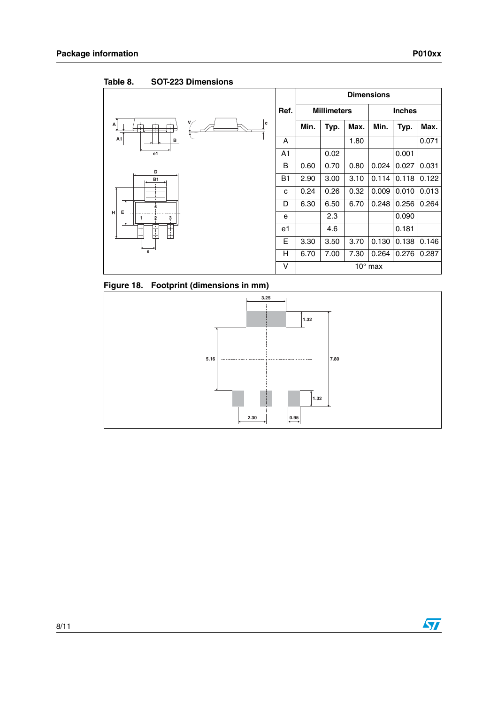|                      |                |      |                    |      | <b>Dimensions</b> |       |       |
|----------------------|----------------|------|--------------------|------|-------------------|-------|-------|
|                      |                |      | <b>Millimeters</b> |      | <b>Inches</b>     |       |       |
| l c<br>A<br>Ť        |                | Min. | Typ.               | Max. | Min.              | Typ.  | Max.  |
| A1<br><u>B</u>       | A              |      |                    | 1.80 |                   |       | 0.071 |
| e1                   | A <sub>1</sub> |      | 0.02               |      |                   | 0.001 |       |
| D                    | в              | 0.60 | 0.70               | 0.80 | 0.024             | 0.027 | 0.031 |
| <b>B1</b>            | <b>B1</b>      | 2.90 | 3.00               | 3.10 | 0.114             | 0.118 | 0.122 |
|                      | c              | 0.24 | 0.26               | 0.32 | 0.009             | 0.010 | 0.013 |
|                      | D              | 6.30 | 6.50               | 6.70 | 0.248             | 0.256 | 0.264 |
| Е<br>н<br>3          | e              |      | 2.3                |      |                   | 0.090 |       |
| Ŧ<br>Ŧ<br>$\ddagger$ | e1             |      | 4.6                |      |                   | 0.181 |       |
|                      | E              | 3.30 | 3.50               | 3.70 | 0.130             | 0.138 | 0.146 |
| $\mathbf{e}$         | Н              | 6.70 | 7.00               | 7.30 | 0.264             | 0.276 | 0.287 |
|                      | ٧              |      |                    |      | $10^{\circ}$ max  |       |       |

Table 8. **SOT-223 Dimensions** 

**Figure 18. Footprint (dimensions in mm)**



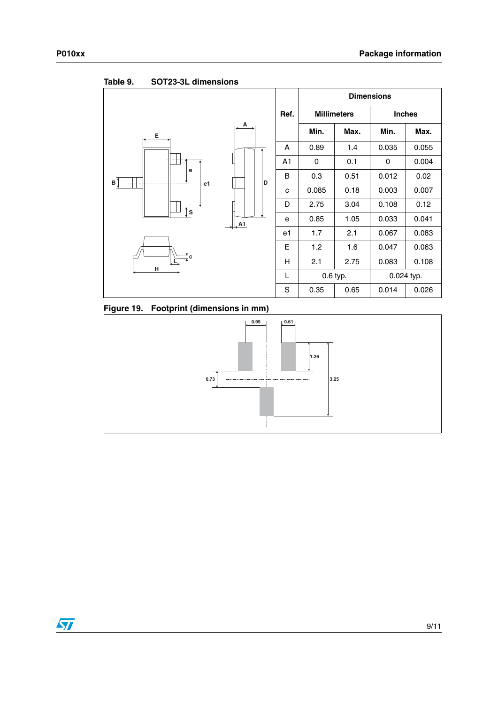

Table 9. **Table 9. SOT23-3L dimensions**

**Figure 19. Footprint (dimensions in mm)**

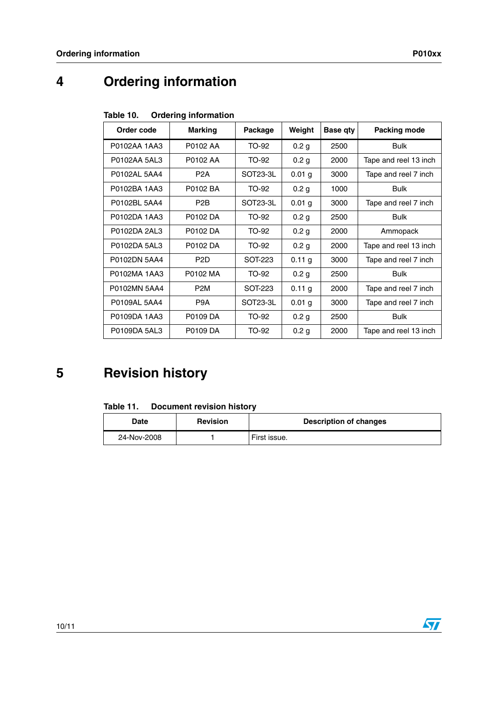# **4 Ordering information**

| Table 10. |  | <b>Ordering information</b> |
|-----------|--|-----------------------------|
|-----------|--|-----------------------------|

| Order code   | <b>Marking</b>   | Package  | Weight            | Base qty | Packing mode          |
|--------------|------------------|----------|-------------------|----------|-----------------------|
| P0102AA 1AA3 | P0102 AA         | TO-92    | 0.2 <sub>g</sub>  | 2500     | <b>Bulk</b>           |
| P0102AA 5AL3 | P0102 AA         | TO-92    | 0.2 <sub>g</sub>  | 2000     | Tape and reel 13 inch |
| P0102AL 5AA4 | P <sub>2</sub> A | SOT23-3L | $0.01$ g          | 3000     | Tape and reel 7 inch  |
| P0102BA 1AA3 | P0102 BA         | TO-92    | 0.2 <sub>g</sub>  | 1000     | <b>Bulk</b>           |
| P0102BL 5AA4 | P <sub>2</sub> B | SOT23-3L | 0.01 <sub>g</sub> | 3000     | Tape and reel 7 inch  |
| P0102DA 1AA3 | P0102 DA         | TO-92    | 0.2 <sub>g</sub>  | 2500     | <b>Bulk</b>           |
| P0102DA 2AL3 | P0102 DA         | TO-92    | 0.2 <sub>g</sub>  | 2000     | Ammopack              |
| P0102DA 5AL3 | P0102 DA         | TO-92    | 0.2 <sub>g</sub>  | 2000     | Tape and reel 13 inch |
| P0102DN 5AA4 | P <sub>2</sub> D | SOT-223  | 0.11 g            | 3000     | Tape and reel 7 inch  |
| P0102MA 1AA3 | P0102 MA         | TO-92    | 0.2 <sub>g</sub>  | 2500     | <b>Bulk</b>           |
| P0102MN 5AA4 | P <sub>2</sub> M | SOT-223  | 0.11 g            | 2000     | Tape and reel 7 inch  |
| P0109AL 5AA4 | P <sub>9</sub> A | SOT23-3L | $0.01$ g          | 3000     | Tape and reel 7 inch  |
| P0109DA 1AA3 | P0109 DA         | TO-92    | 0.2 <sub>g</sub>  | 2500     | <b>Bulk</b>           |
| P0109DA 5AL3 | P0109 DA         | TO-92    | 0.2 <sub>g</sub>  | 2000     | Tape and reel 13 inch |

# **5 Revision history**

| Date        | <b>Revision</b> | <b>Description of changes</b> |
|-------------|-----------------|-------------------------------|
| 24-Nov-2008 |                 | First issue.                  |